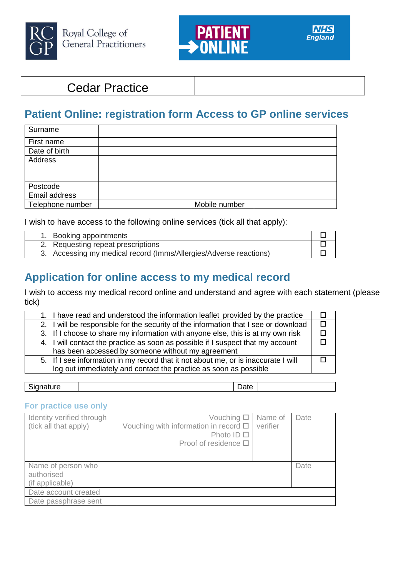



## Cedar Practice

# **Patient Online: registration form Access to GP online services**

| Surname          |               |
|------------------|---------------|
| First name       |               |
| Date of birth    |               |
| Address          |               |
|                  |               |
|                  |               |
| Postcode         |               |
| Email address    |               |
| Telephone number | Mobile number |

I wish to have access to the following online services (tick all that apply):

| 1. Booking appointments                                           |  |
|-------------------------------------------------------------------|--|
| 2. Requesting repeat prescriptions                                |  |
| 3. Accessing my medical record (Imms/Allergies/Adverse reactions) |  |

## **Application for online access to my medical record**

I wish to access my medical record online and understand and agree with each statement (please tick)

|  | 1. I have read and understood the information leaflet provided by the practice      |  |
|--|-------------------------------------------------------------------------------------|--|
|  | 2. I will be responsible for the security of the information that I see or download |  |
|  | 3. If I choose to share my information with anyone else, this is at my own risk     |  |
|  | 4. I will contact the practice as soon as possible if I suspect that my account     |  |
|  | has been accessed by someone without my agreement                                   |  |
|  | 5. If I see information in my record that it not about me, or is inaccurate I will  |  |
|  | log out immediately and contact the practice as soon as possible                    |  |
|  |                                                                                     |  |

Signature | Date

## **For practice use only**

| Identity verified through<br>(tick all that apply)  | Vouching $\square$<br>Vouching with information in record □<br>Photo ID $\Box$<br>Proof of residence $\Box$ | Name of<br>verifier | Date |
|-----------------------------------------------------|-------------------------------------------------------------------------------------------------------------|---------------------|------|
| Name of person who<br>authorised<br>(if applicable) |                                                                                                             |                     | Date |
| Date account created                                |                                                                                                             |                     |      |
| Date passphrase sent                                |                                                                                                             |                     |      |